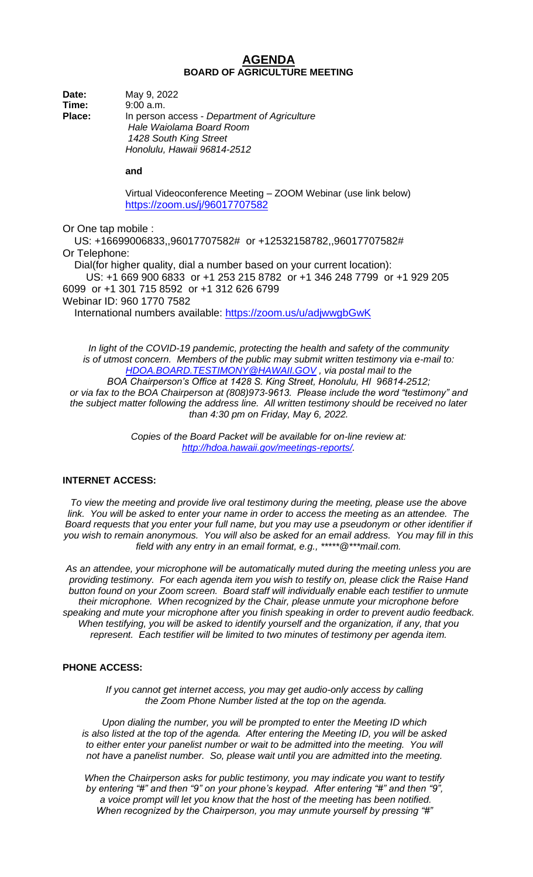## **AGENDA BOARD OF AGRICULTURE MEETING**

**Date:** May 9, 2022 **Time:** 9:00 a.m. **Place:** In person access - *Department of Agriculture Hale Waiolama Board Room 1428 South King Street Honolulu, Hawaii 96814-2512*

**and** 

Virtual Videoconference Meeting – ZOOM Webinar (use link below) <https://zoom.us/j/96017707582>

Or One tap mobile :

 US: +16699006833,,96017707582# or +12532158782,,96017707582# Or Telephone: Dial(for higher quality, dial a number based on your current location): US: +1 669 900 6833 or +1 253 215 8782 or +1 346 248 7799 or +1 929 205 6099 or +1 301 715 8592 or +1 312 626 6799 Webinar ID: 960 1770 7582 International numbers available:<https://zoom.us/u/adjwwgbGwK>

*In light of the COVID-19 pandemic, protecting the health and safety of the community is of utmost concern. Members of the public may submit written testimony via e-mail to: [HDOA.BOARD.TESTIMONY@HAWAII.GOV](mailto:HDOA.BOARD.TESTIMONY@HAWAII.GOV) , via postal mail to the BOA Chairperson's Office at 1428 S. King Street, Honolulu, HI 96814-2512; or via fax to the BOA Chairperson at (808)973-9613. Please include the word "testimony" and the subject matter following the address line. All written testimony should be received no later than 4:30 pm on Friday, May 6, 2022.*

> *Copies of the Board Packet will be available for on-line review at: [http://hdoa.hawaii.gov/meetings-reports/.](http://hdoa.hawaii.gov/meetings-reports/)*

# **INTERNET ACCESS:**

*To view the meeting and provide live oral testimony during the meeting, please use the above link. You will be asked to enter your name in order to access the meeting as an attendee. The Board requests that you enter your full name, but you may use a pseudonym or other identifier if you wish to remain anonymous. You will also be asked for an email address. You may fill in this field with any entry in an email format, e.g., \*\*\*\*\*@\*\*\*mail.com.*

*As an attendee, your microphone will be automatically muted during the meeting unless you are providing testimony. For each agenda item you wish to testify on, please click the Raise Hand button found on your Zoom screen. Board staff will individually enable each testifier to unmute their microphone. When recognized by the Chair, please unmute your microphone before speaking and mute your microphone after you finish speaking in order to prevent audio feedback. When testifying, you will be asked to identify yourself and the organization, if any, that you represent. Each testifier will be limited to two minutes of testimony per agenda item.*

#### **PHONE ACCESS:**

*If you cannot get internet access, you may get audio-only access by calling the Zoom Phone Number listed at the top on the agenda.*

*Upon dialing the number, you will be prompted to enter the Meeting ID which is also listed at the top of the agenda. After entering the Meeting ID, you will be asked to either enter your panelist number or wait to be admitted into the meeting. You will not have a panelist number. So, please wait until you are admitted into the meeting.*

*When the Chairperson asks for public testimony, you may indicate you want to testify by entering "#" and then "9" on your phone's keypad. After entering "#" and then "9", a voice prompt will let you know that the host of the meeting has been notified. When recognized by the Chairperson, you may unmute yourself by pressing "#"*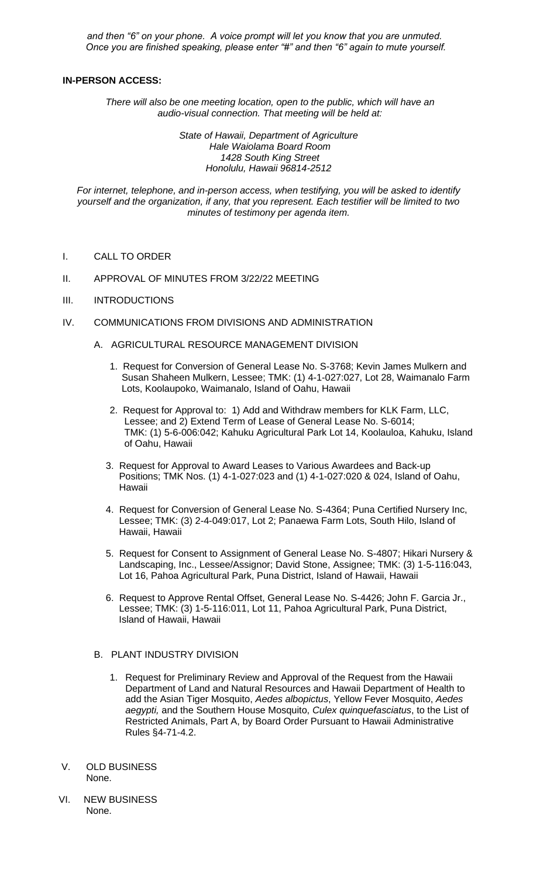*and then "6" on your phone. A voice prompt will let you know that you are unmuted. Once you are finished speaking, please enter "#" and then "6" again to mute yourself.*

### **IN-PERSON ACCESS:**

*There will also be one meeting location, open to the public, which will have an audio-visual connection. That meeting will be held at:* 

> *State of Hawaii, Department of Agriculture Hale Waiolama Board Room 1428 South King Street Honolulu, Hawaii 96814-2512*

*For internet, telephone, and in-person access, when testifying, you will be asked to identify yourself and the organization, if any, that you represent. Each testifier will be limited to two minutes of testimony per agenda item.*

- I. CALL TO ORDER
- II. APPROVAL OF MINUTES FROM 3/22/22 MEETING
- III. INTRODUCTIONS
- IV. COMMUNICATIONS FROM DIVISIONS AND ADMINISTRATION
	- A. AGRICULTURAL RESOURCE MANAGEMENT DIVISION
		- 1. Request for Conversion of General Lease No. S-3768; Kevin James Mulkern and Susan Shaheen Mulkern, Lessee; TMK: (1) 4-1-027:027, Lot 28, Waimanalo Farm Lots, Koolaupoko, Waimanalo, Island of Oahu, Hawaii
		- 2. Request for Approval to: 1) Add and Withdraw members for KLK Farm, LLC, Lessee; and 2) Extend Term of Lease of General Lease No. S-6014; TMK: (1) 5-6-006:042; Kahuku Agricultural Park Lot 14, Koolauloa, Kahuku, Island of Oahu, Hawaii
		- 3. Request for Approval to Award Leases to Various Awardees and Back-up Positions; TMK Nos. (1) 4-1-027:023 and (1) 4-1-027:020 & 024, Island of Oahu, Hawaii
		- 4. Request for Conversion of General Lease No. S-4364; Puna Certified Nursery Inc, Lessee; TMK: (3) 2-4-049:017, Lot 2; Panaewa Farm Lots, South Hilo, Island of Hawaii, Hawaii
		- 5. Request for Consent to Assignment of General Lease No. S-4807; Hikari Nursery & Landscaping, Inc., Lessee/Assignor; David Stone, Assignee; TMK: (3) 1-5-116:043, Lot 16, Pahoa Agricultural Park, Puna District, Island of Hawaii, Hawaii
		- 6. Request to Approve Rental Offset, General Lease No. S-4426; John F. Garcia Jr., Lessee; TMK: (3) 1-5-116:011, Lot 11, Pahoa Agricultural Park, Puna District, Island of Hawaii, Hawaii

### B. PLANT INDUSTRY DIVISION

- 1. Request for Preliminary Review and Approval of the Request from the Hawaii Department of Land and Natural Resources and Hawaii Department of Health to add the Asian Tiger Mosquito, *Aedes albopictus*, Yellow Fever Mosquito, *Aedes aegypti,* and the Southern House Mosquito, *Culex quinquefasciatus*, to the List of Restricted Animals, Part A, by Board Order Pursuant to Hawaii Administrative Rules §4-71-4.2.
- V. OLD BUSINESS None.
- VI. NEW BUSINESS None.